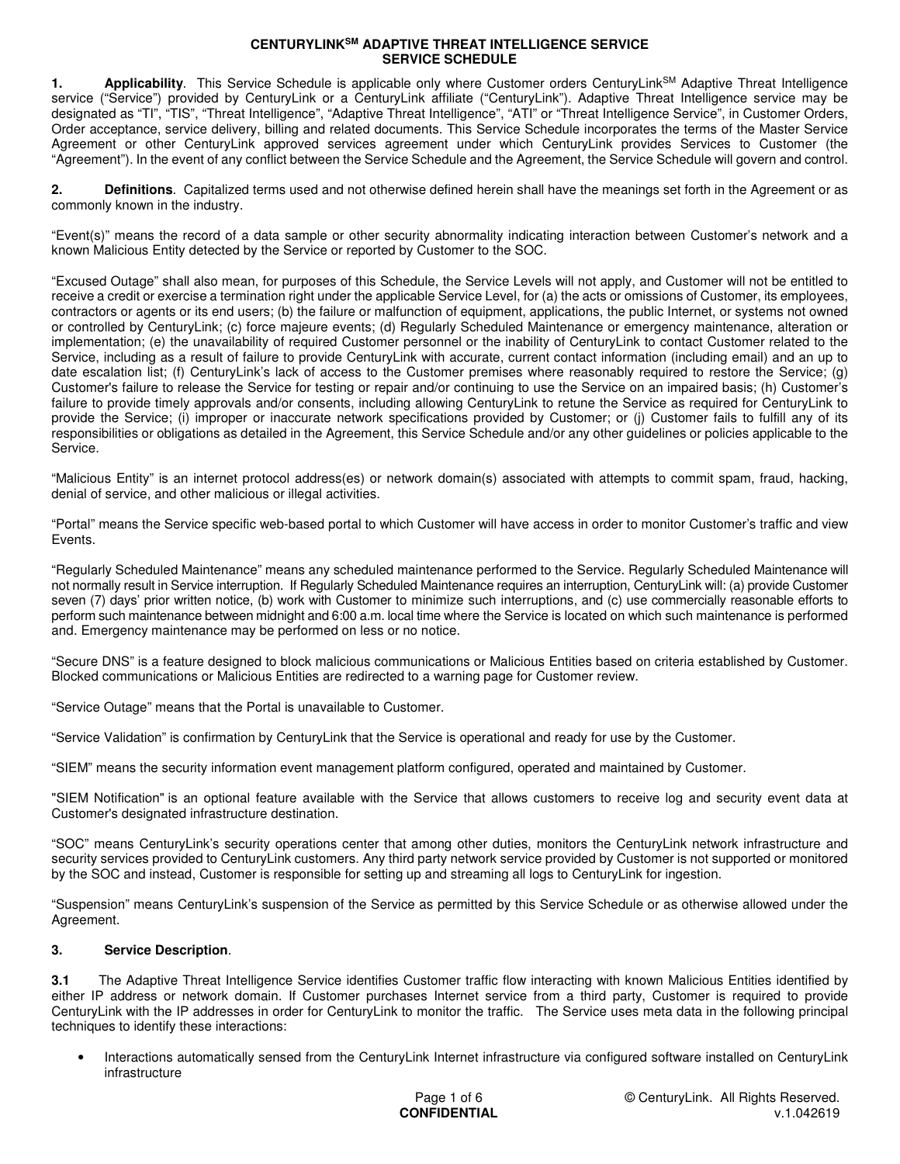1. **Applicability**. This Service Schedule is applicable only where Customer orders CenturyLink<sup>SM</sup> Adaptive Threat Intelligence service ("Service") provided by CenturyLink or a CenturyLink affiliate ("CenturyLink"). Adaptive Threat Intelligence service may be designated as "TI", "TIS", "Threat Intelligence", "Adaptive Threat Intelligence", "ATI" or "Threat Intelligence Service", in Customer Orders, Order acceptance, service delivery, billing and related documents. This Service Schedule incorporates the terms of the Master Service Agreement or other CenturyLink approved services agreement under which CenturyLink provides Services to Customer (the "Agreement"). In the event of any conflict between the Service Schedule and the Agreement, the Service Schedule will govern and control.

**2. Definitions**. Capitalized terms used and not otherwise defined herein shall have the meanings set forth in the Agreement or as commonly known in the industry.

"Event(s)" means the record of a data sample or other security abnormality indicating interaction between Customer's network and a known Malicious Entity detected by the Service or reported by Customer to the SOC.

"Excused Outage" shall also mean, for purposes of this Schedule, the Service Levels will not apply, and Customer will not be entitled to receive a credit or exercise a termination right under the applicable Service Level, for (a) the acts or omissions of Customer, its employees, contractors or agents or its end users; (b) the failure or malfunction of equipment, applications, the public Internet, or systems not owned or controlled by CenturyLink; (c) force majeure events; (d) Regularly Scheduled Maintenance or emergency maintenance, alteration or implementation; (e) the unavailability of required Customer personnel or the inability of CenturyLink to contact Customer related to the Service, including as a result of failure to provide CenturyLink with accurate, current contact information (including email) and an up to date escalation list; (f) CenturyLink's lack of access to the Customer premises where reasonably required to restore the Service; (g) Customer's failure to release the Service for testing or repair and/or continuing to use the Service on an impaired basis; (h) Customer's failure to provide timely approvals and/or consents, including allowing CenturyLink to retune the Service as required for CenturyLink to provide the Service; (i) improper or inaccurate network specifications provided by Customer; or (j) Customer fails to fulfill any of its responsibilities or obligations as detailed in the Agreement, this Service Schedule and/or any other guidelines or policies applicable to the Service.

"Malicious Entity" is an internet protocol address(es) or network domain(s) associated with attempts to commit spam, fraud, hacking, denial of service, and other malicious or illegal activities.

"Portal" means the Service specific web-based portal to which Customer will have access in order to monitor Customer's traffic and view Events.

"Regularly Scheduled Maintenance" means any scheduled maintenance performed to the Service. Regularly Scheduled Maintenance will not normally result in Service interruption. If Regularly Scheduled Maintenance requires an interruption, CenturyLink will: (a) provide Customer seven (7) days' prior written notice, (b) work with Customer to minimize such interruptions, and (c) use commercially reasonable efforts to perform such maintenance between midnight and 6:00 a.m. local time where the Service is located on which such maintenance is performed and. Emergency maintenance may be performed on less or no notice.

"Secure DNS" is a feature designed to block malicious communications or Malicious Entities based on criteria established by Customer. Blocked communications or Malicious Entities are redirected to a warning page for Customer review.

"Service Outage" means that the Portal is unavailable to Customer.

"Service Validation" is confirmation by CenturyLink that the Service is operational and ready for use by the Customer.

"SIEM" means the security information event management platform configured, operated and maintained by Customer.

"SIEM Notification" is an optional feature available with the Service that allows customers to receive log and security event data at Customer's designated infrastructure destination.

"SOC" means CenturyLink's security operations center that among other duties, monitors the CenturyLink network infrastructure and security services provided to CenturyLink customers. Any third party network service provided by Customer is not supported or monitored by the SOC and instead, Customer is responsible for setting up and streaming all logs to CenturyLink for ingestion.

"Suspension" means CenturyLink's suspension of the Service as permitted by this Service Schedule or as otherwise allowed under the Agreement.

### **3. Service Description**.

**3.1** The Adaptive Threat Intelligence Service identifies Customer traffic flow interacting with known Malicious Entities identified by either IP address or network domain. If Customer purchases Internet service from a third party, Customer is required to provide CenturyLink with the IP addresses in order for CenturyLink to monitor the traffic. The Service uses meta data in the following principal techniques to identify these interactions:

• Interactions automatically sensed from the CenturyLink Internet infrastructure via configured software installed on CenturyLink infrastructure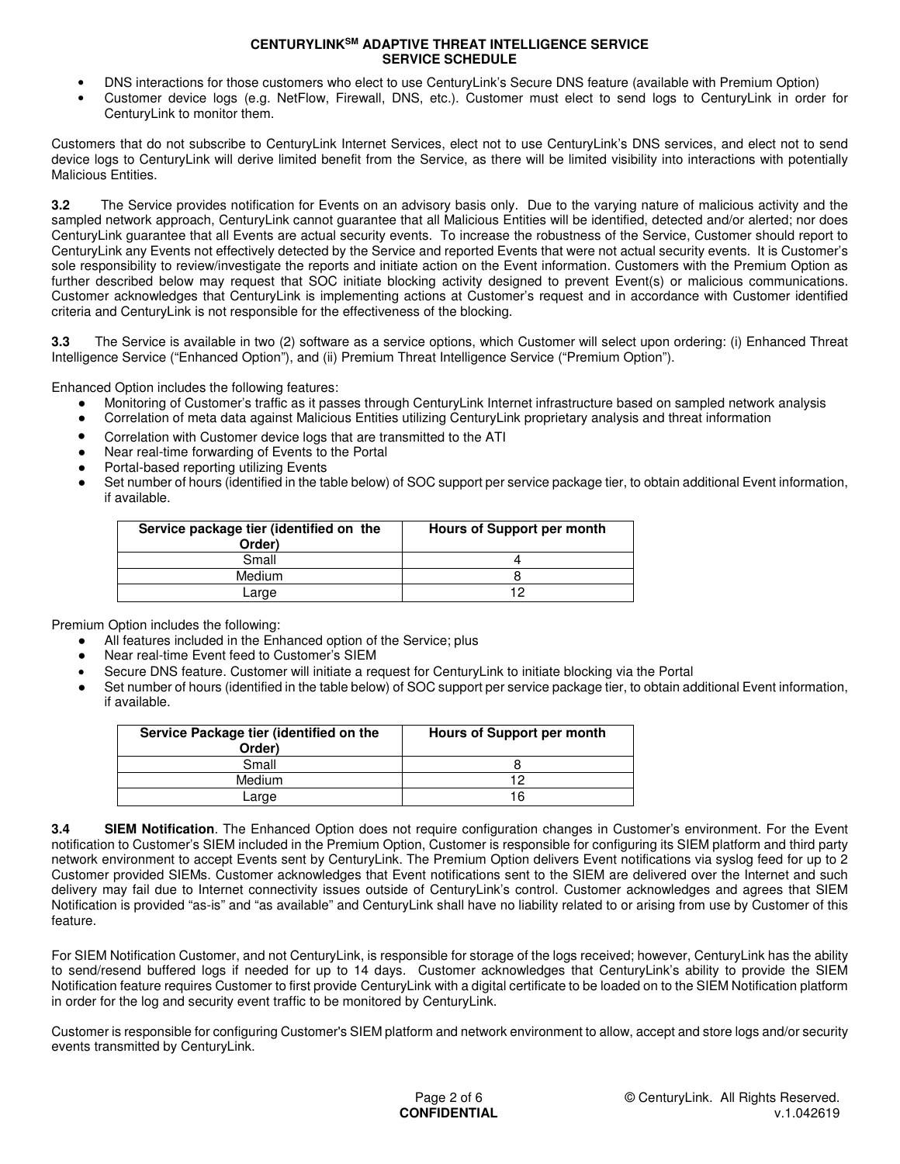- DNS interactions for those customers who elect to use CenturyLink's Secure DNS feature (available with Premium Option)
- Customer device logs (e.g. NetFlow, Firewall, DNS, etc.). Customer must elect to send logs to CenturyLink in order for CenturyLink to monitor them.

Customers that do not subscribe to CenturyLink Internet Services, elect not to use CenturyLink's DNS services, and elect not to send device logs to CenturyLink will derive limited benefit from the Service, as there will be limited visibility into interactions with potentially Malicious Entities.

**3.2** The Service provides notification for Events on an advisory basis only. Due to the varying nature of malicious activity and the sampled network approach, CenturyLink cannot guarantee that all Malicious Entities will be identified, detected and/or alerted; nor does CenturyLink guarantee that all Events are actual security events. To increase the robustness of the Service, Customer should report to CenturyLink any Events not effectively detected by the Service and reported Events that were not actual security events. It is Customer's sole responsibility to review/investigate the reports and initiate action on the Event information. Customers with the Premium Option as further described below may request that SOC initiate blocking activity designed to prevent Event(s) or malicious communications. Customer acknowledges that CenturyLink is implementing actions at Customer's request and in accordance with Customer identified criteria and CenturyLink is not responsible for the effectiveness of the blocking.

**3.3** The Service is available in two (2) software as a service options, which Customer will select upon ordering: (i) Enhanced Threat Intelligence Service ("Enhanced Option"), and (ii) Premium Threat Intelligence Service ("Premium Option").

Enhanced Option includes the following features:

- Monitoring of Customer's traffic as it passes through CenturyLink Internet infrastructure based on sampled network analysis
- Correlation of meta data against Malicious Entities utilizing CenturyLink proprietary analysis and threat information
- Correlation with Customer device logs that are transmitted to the ATI
- Near real-time forwarding of Events to the Portal
- Portal-based reporting utilizing Events
- Set number of hours (identified in the table below) of SOC support per service package tier, to obtain additional Event information, if available.

| Service package tier (identified on the<br>Order) | Hours of Support per month |
|---------------------------------------------------|----------------------------|
| Small                                             |                            |
| Medium                                            |                            |
| Large                                             | 10                         |
|                                                   |                            |

Premium Option includes the following:

- All features included in the Enhanced option of the Service; plus
- Near real-time Event feed to Customer's SIEM
	- Secure DNS feature. Customer will initiate a request for CenturyLink to initiate blocking via the Portal
- Set number of hours (identified in the table below) of SOC support per service package tier, to obtain additional Event information, if available.

| Service Package tier (identified on the<br>Order) | Hours of Support per month |
|---------------------------------------------------|----------------------------|
| Small                                             |                            |
| Medium                                            |                            |
| Large                                             |                            |

**3.4 SIEM Notification**. The Enhanced Option does not require configuration changes in Customer's environment. For the Event notification to Customer's SIEM included in the Premium Option, Customer is responsible for configuring its SIEM platform and third party network environment to accept Events sent by CenturyLink. The Premium Option delivers Event notifications via syslog feed for up to 2 Customer provided SIEMs. Customer acknowledges that Event notifications sent to the SIEM are delivered over the Internet and such delivery may fail due to Internet connectivity issues outside of CenturyLink's control. Customer acknowledges and agrees that SIEM Notification is provided "as-is" and "as available" and CenturyLink shall have no liability related to or arising from use by Customer of this feature.

For SIEM Notification Customer, and not CenturyLink, is responsible for storage of the logs received; however, CenturyLink has the ability to send/resend buffered logs if needed for up to 14 days. Customer acknowledges that CenturyLink's ability to provide the SIEM Notification feature requires Customer to first provide CenturyLink with a digital certificate to be loaded on to the SIEM Notification platform in order for the log and security event traffic to be monitored by CenturyLink.

Customer is responsible for configuring Customer's SIEM platform and network environment to allow, accept and store logs and/or security events transmitted by CenturyLink.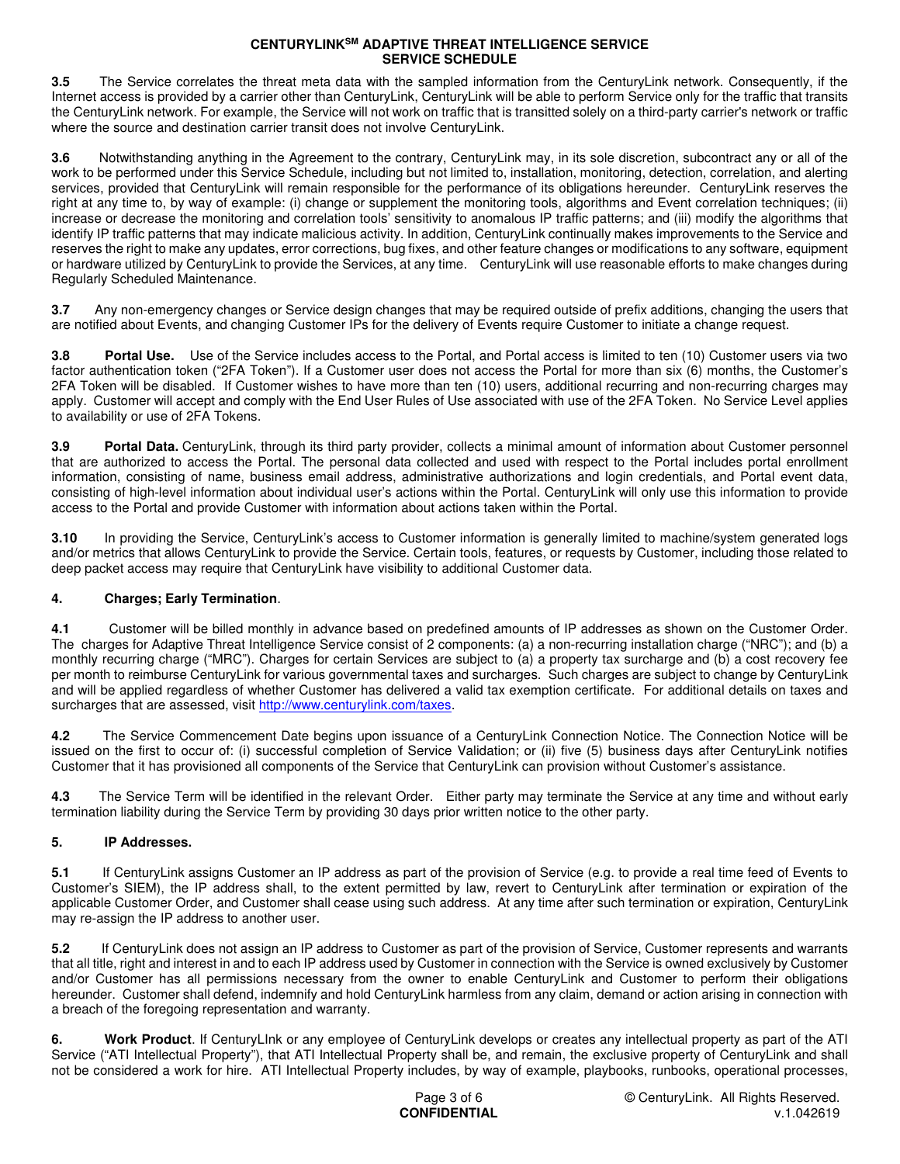**3.5** The Service correlates the threat meta data with the sampled information from the CenturyLink network. Consequently, if the Internet access is provided by a carrier other than CenturyLink, CenturyLink will be able to perform Service only for the traffic that transits the CenturyLink network. For example, the Service will not work on traffic that is transitted solely on a third-party carrier's network or traffic where the source and destination carrier transit does not involve CenturyLink.

**3.6** Notwithstanding anything in the Agreement to the contrary, CenturyLink may, in its sole discretion, subcontract any or all of the work to be performed under this Service Schedule, including but not limited to, installation, monitoring, detection, correlation, and alerting services, provided that CenturyLink will remain responsible for the performance of its obligations hereunder. CenturyLink reserves the right at any time to, by way of example: (i) change or supplement the monitoring tools, algorithms and Event correlation techniques; (ii) increase or decrease the monitoring and correlation tools' sensitivity to anomalous IP traffic patterns; and (iii) modify the algorithms that identify IP traffic patterns that may indicate malicious activity. In addition, CenturyLink continually makes improvements to the Service and reserves the right to make any updates, error corrections, bug fixes, and other feature changes or modifications to any software, equipment or hardware utilized by CenturyLink to provide the Services, at any time. CenturyLink will use reasonable efforts to make changes during Regularly Scheduled Maintenance.

**3.7** Any non-emergency changes or Service design changes that may be required outside of prefix additions, changing the users that are notified about Events, and changing Customer IPs for the delivery of Events require Customer to initiate a change request.

**3.8** Portal Use. Use of the Service includes access to the Portal, and Portal access is limited to ten (10) Customer users via two factor authentication token ("2FA Token"). If a Customer user does not access the Portal for more than six (6) months, the Customer's 2FA Token will be disabled. If Customer wishes to have more than ten (10) users, additional recurring and non-recurring charges may apply. Customer will accept and comply with the End User Rules of Use associated with use of the 2FA Token. No Service Level applies to availability or use of 2FA Tokens.

**3.9 Portal Data.** CenturyLink, through its third party provider, collects a minimal amount of information about Customer personnel that are authorized to access the Portal. The personal data collected and used with respect to the Portal includes portal enrollment information, consisting of name, business email address, administrative authorizations and login credentials, and Portal event data, consisting of high-level information about individual user's actions within the Portal. CenturyLink will only use this information to provide access to the Portal and provide Customer with information about actions taken within the Portal.

**3.10** In providing the Service, CenturyLink's access to Customer information is generally limited to machine/system generated logs and/or metrics that allows CenturyLink to provide the Service. Certain tools, features, or requests by Customer, including those related to deep packet access may require that CenturyLink have visibility to additional Customer data.

# **4. Charges; Early Termination**.

**4.1** Customer will be billed monthly in advance based on predefined amounts of IP addresses as shown on the Customer Order. The charges for Adaptive Threat Intelligence Service consist of 2 components: (a) a non-recurring installation charge ("NRC"); and (b) a monthly recurring charge ("MRC"). Charges for certain Services are subject to (a) a property tax surcharge and (b) a cost recovery fee per month to reimburse CenturyLink for various governmental taxes and surcharges. Such charges are subject to change by CenturyLink and will be applied regardless of whether Customer has delivered a valid tax exemption certificate. For additional details on taxes and surcharges that are assessed, visit http://www.centurylink.com/taxes.

**4.2** The Service Commencement Date begins upon issuance of a CenturyLink Connection Notice. The Connection Notice will be issued on the first to occur of: (i) successful completion of Service Validation; or (ii) five (5) business days after CenturyLink notifies Customer that it has provisioned all components of the Service that CenturyLink can provision without Customer's assistance.

**4.3** The Service Term will be identified in the relevant Order. Either party may terminate the Service at any time and without early termination liability during the Service Term by providing 30 days prior written notice to the other party.

# **5. IP Addresses.**

**5.1** If CenturyLink assigns Customer an IP address as part of the provision of Service (e.g. to provide a real time feed of Events to Customer's SIEM), the IP address shall, to the extent permitted by law, revert to CenturyLink after termination or expiration of the applicable Customer Order, and Customer shall cease using such address. At any time after such termination or expiration, CenturyLink may re-assign the IP address to another user.

**5.2** If CenturyLink does not assign an IP address to Customer as part of the provision of Service, Customer represents and warrants that all title, right and interest in and to each IP address used by Customer in connection with the Service is owned exclusively by Customer and/or Customer has all permissions necessary from the owner to enable CenturyLink and Customer to perform their obligations hereunder. Customer shall defend, indemnify and hold CenturyLink harmless from any claim, demand or action arising in connection with a breach of the foregoing representation and warranty.

**6. Work Product**. If CenturyLInk or any employee of CenturyLink develops or creates any intellectual property as part of the ATI Service ("ATI Intellectual Property"), that ATI Intellectual Property shall be, and remain, the exclusive property of CenturyLink and shall not be considered a work for hire. ATI Intellectual Property includes, by way of example, playbooks, runbooks, operational processes,



© CenturyLink. All Rights Reserved. v.1.042619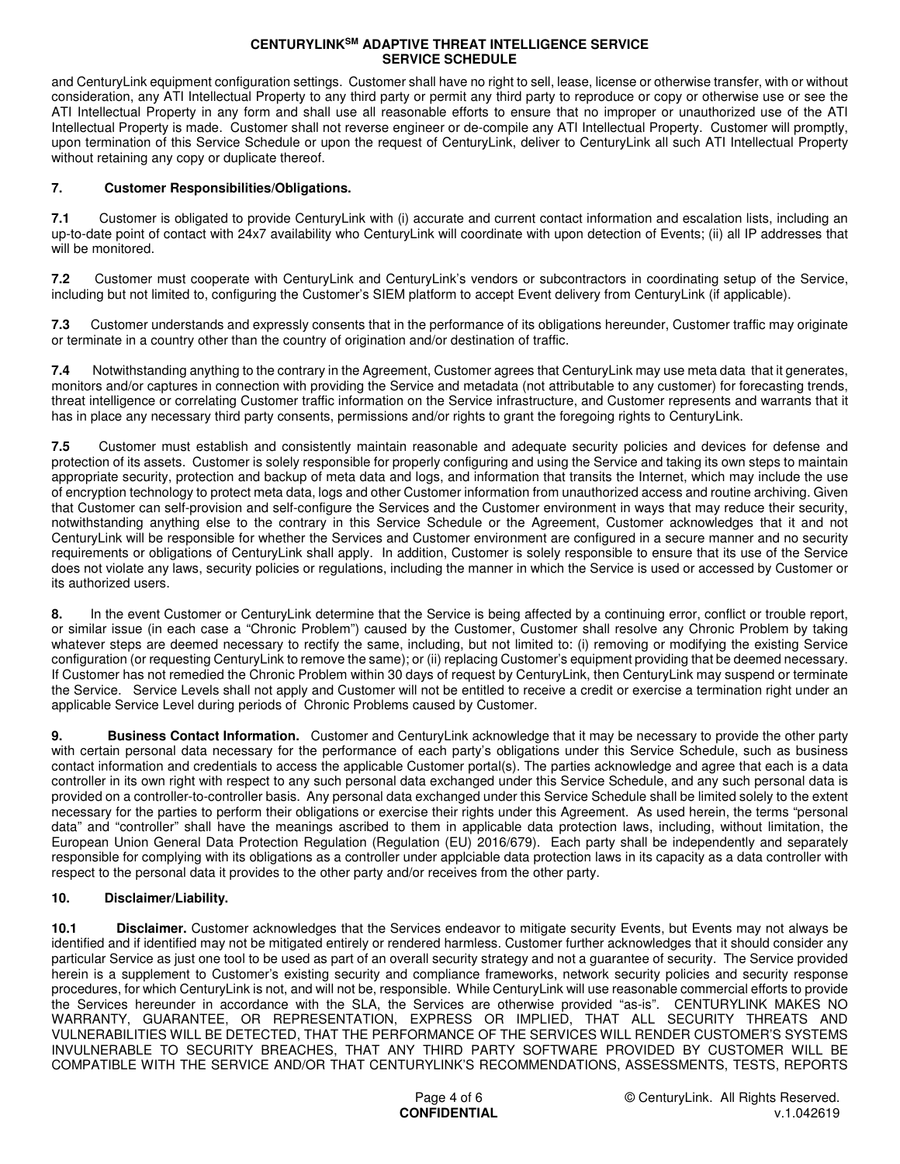and CenturyLink equipment configuration settings. Customer shall have no right to sell, lease, license or otherwise transfer, with or without consideration, any ATI Intellectual Property to any third party or permit any third party to reproduce or copy or otherwise use or see the ATI Intellectual Property in any form and shall use all reasonable efforts to ensure that no improper or unauthorized use of the ATI Intellectual Property is made. Customer shall not reverse engineer or de-compile any ATI Intellectual Property. Customer will promptly, upon termination of this Service Schedule or upon the request of CenturyLink, deliver to CenturyLink all such ATI Intellectual Property without retaining any copy or duplicate thereof.

## **7. Customer Responsibilities/Obligations.**

**7.1** Customer is obligated to provide CenturyLink with (i) accurate and current contact information and escalation lists, including an up-to-date point of contact with 24x7 availability who CenturyLink will coordinate with upon detection of Events; (ii) all IP addresses that will be monitored.

**7.2** Customer must cooperate with CenturyLink and CenturyLink's vendors or subcontractors in coordinating setup of the Service, including but not limited to, configuring the Customer's SIEM platform to accept Event delivery from CenturyLink (if applicable).

**7.3** Customer understands and expressly consents that in the performance of its obligations hereunder, Customer traffic may originate or terminate in a country other than the country of origination and/or destination of traffic.

**7.4** Notwithstanding anything to the contrary in the Agreement, Customer agrees that CenturyLink may use meta data that it generates, monitors and/or captures in connection with providing the Service and metadata (not attributable to any customer) for forecasting trends, threat intelligence or correlating Customer traffic information on the Service infrastructure, and Customer represents and warrants that it has in place any necessary third party consents, permissions and/or rights to grant the foregoing rights to CenturyLink.

**7.5** Customer must establish and consistently maintain reasonable and adequate security policies and devices for defense and protection of its assets. Customer is solely responsible for properly configuring and using the Service and taking its own steps to maintain appropriate security, protection and backup of meta data and logs, and information that transits the Internet, which may include the use of encryption technology to protect meta data, logs and other Customer information from unauthorized access and routine archiving. Given that Customer can self-provision and self-configure the Services and the Customer environment in ways that may reduce their security, notwithstanding anything else to the contrary in this Service Schedule or the Agreement, Customer acknowledges that it and not CenturyLink will be responsible for whether the Services and Customer environment are configured in a secure manner and no security requirements or obligations of CenturyLink shall apply. In addition, Customer is solely responsible to ensure that its use of the Service does not violate any laws, security policies or regulations, including the manner in which the Service is used or accessed by Customer or its authorized users.

**8.** In the event Customer or CenturyLink determine that the Service is being affected by a continuing error, conflict or trouble report, or similar issue (in each case a "Chronic Problem") caused by the Customer, Customer shall resolve any Chronic Problem by taking whatever steps are deemed necessary to rectify the same, including, but not limited to: (i) removing or modifying the existing Service configuration (or requesting CenturyLink to remove the same); or (ii) replacing Customer's equipment providing that be deemed necessary. If Customer has not remedied the Chronic Problem within 30 days of request by CenturyLink, then CenturyLink may suspend or terminate the Service. Service Levels shall not apply and Customer will not be entitled to receive a credit or exercise a termination right under an applicable Service Level during periods of Chronic Problems caused by Customer.

**9. Business Contact Information.** Customer and CenturyLink acknowledge that it may be necessary to provide the other party with certain personal data necessary for the performance of each party's obligations under this Service Schedule, such as business contact information and credentials to access the applicable Customer portal(s). The parties acknowledge and agree that each is a data controller in its own right with respect to any such personal data exchanged under this Service Schedule, and any such personal data is provided on a controller-to-controller basis. Any personal data exchanged under this Service Schedule shall be limited solely to the extent necessary for the parties to perform their obligations or exercise their rights under this Agreement. As used herein, the terms "personal data" and "controller" shall have the meanings ascribed to them in applicable data protection laws, including, without limitation, the European Union General Data Protection Regulation (Regulation (EU) 2016/679). Each party shall be independently and separately responsible for complying with its obligations as a controller under applciable data protection laws in its capacity as a data controller with respect to the personal data it provides to the other party and/or receives from the other party.

### **10. Disclaimer/Liability.**

**10.1 Disclaimer.** Customer acknowledges that the Services endeavor to mitigate security Events, but Events may not always be identified and if identified may not be mitigated entirely or rendered harmless. Customer further acknowledges that it should consider any particular Service as just one tool to be used as part of an overall security strategy and not a guarantee of security. The Service provided herein is a supplement to Customer's existing security and compliance frameworks, network security policies and security response procedures, for which CenturyLink is not, and will not be, responsible. While CenturyLink will use reasonable commercial efforts to provide the Services hereunder in accordance with the SLA, the Services are otherwise provided "as-is". CENTURYLINK MAKES NO WARRANTY, GUARANTEE, OR REPRESENTATION, EXPRESS OR IMPLIED, THAT ALL SECURITY THREATS AND VULNERABILITIES WILL BE DETECTED, THAT THE PERFORMANCE OF THE SERVICES WILL RENDER CUSTOMER'S SYSTEMS INVULNERABLE TO SECURITY BREACHES, THAT ANY THIRD PARTY SOFTWARE PROVIDED BY CUSTOMER WILL BE COMPATIBLE WITH THE SERVICE AND/OR THAT CENTURYLINK'S RECOMMENDATIONS, ASSESSMENTS, TESTS, REPORTS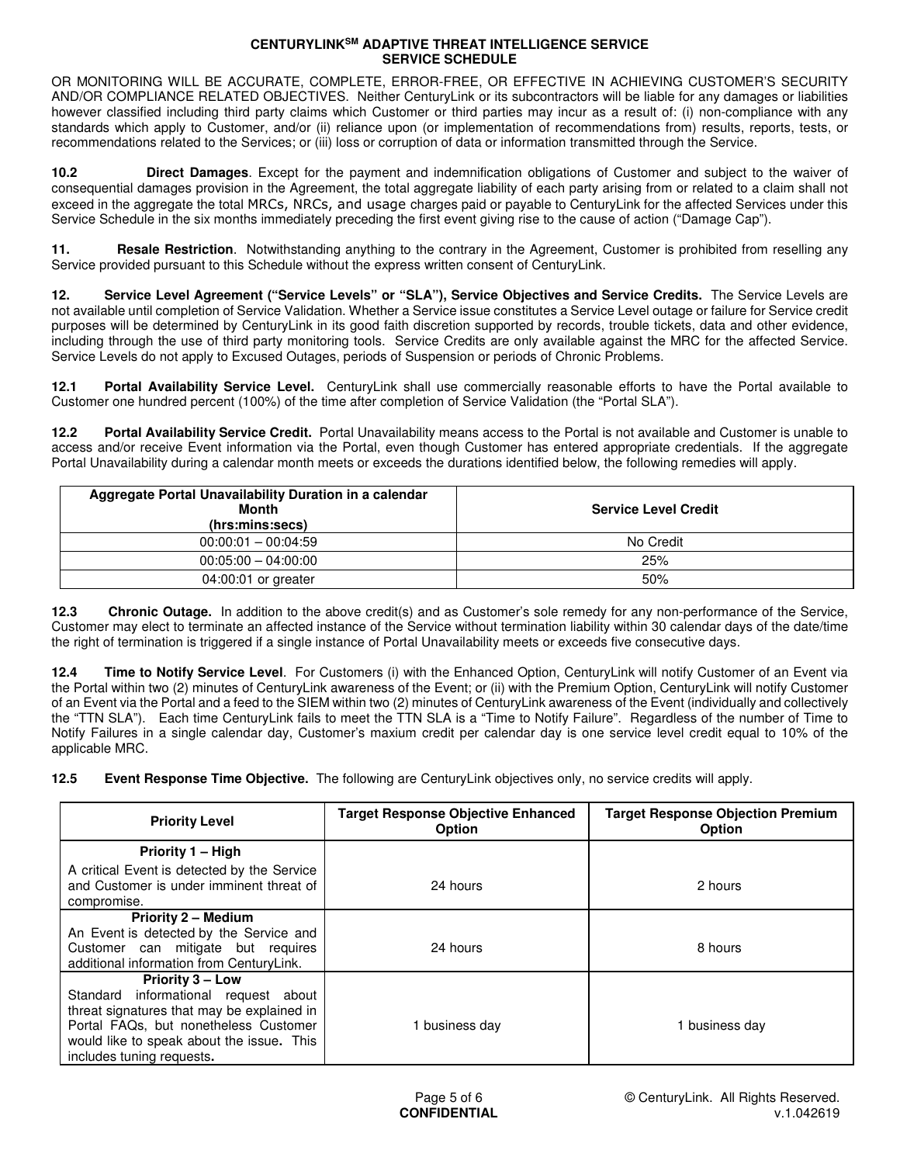OR MONITORING WILL BE ACCURATE, COMPLETE, ERROR-FREE, OR EFFECTIVE IN ACHIEVING CUSTOMER'S SECURITY AND/OR COMPLIANCE RELATED OBJECTIVES. Neither CenturyLink or its subcontractors will be liable for any damages or liabilities however classified including third party claims which Customer or third parties may incur as a result of: (i) non-compliance with any standards which apply to Customer, and/or (ii) reliance upon (or implementation of recommendations from) results, reports, tests, or recommendations related to the Services; or (iii) loss or corruption of data or information transmitted through the Service.

**10.2 Direct Damages**. Except for the payment and indemnification obligations of Customer and subject to the waiver of consequential damages provision in the Agreement, the total aggregate liability of each party arising from or related to a claim shall not exceed in the aggregate the total MRCs, NRCs, and usage charges paid or payable to CenturyLink for the affected Services under this Service Schedule in the six months immediately preceding the first event giving rise to the cause of action ("Damage Cap").

**11.** Resale Restriction. Notwithstanding anything to the contrary in the Agreement, Customer is prohibited from reselling any Service provided pursuant to this Schedule without the express written consent of CenturyLink.

**12. Service Level Agreement ("Service Levels" or "SLA"), Service Objectives and Service Credits.** The Service Levels are not available until completion of Service Validation. Whether a Service issue constitutes a Service Level outage or failure for Service credit purposes will be determined by CenturyLink in its good faith discretion supported by records, trouble tickets, data and other evidence, including through the use of third party monitoring tools. Service Credits are only available against the MRC for the affected Service. Service Levels do not apply to Excused Outages, periods of Suspension or periods of Chronic Problems.

**12.1 Portal Availability Service Level.** CenturyLink shall use commercially reasonable efforts to have the Portal available to Customer one hundred percent (100%) of the time after completion of Service Validation (the "Portal SLA").

**12.2 Portal Availability Service Credit.** Portal Unavailability means access to the Portal is not available and Customer is unable to access and/or receive Event information via the Portal, even though Customer has entered appropriate credentials. If the aggregate Portal Unavailability during a calendar month meets or exceeds the durations identified below, the following remedies will apply.

| Aggregate Portal Unavailability Duration in a calendar<br>Month<br>(hrs:mins:secs) | <b>Service Level Credit</b> |
|------------------------------------------------------------------------------------|-----------------------------|
| $00:00:01 - 00:04:59$                                                              | No Credit                   |
| $00:05:00 - 04:00:00$                                                              | 25%                         |
| 04:00:01 or greater                                                                | 50%                         |

**12.3 Chronic Outage.** In addition to the above credit(s) and as Customer's sole remedy for any non-performance of the Service, Customer may elect to terminate an affected instance of the Service without termination liability within 30 calendar days of the date/time the right of termination is triggered if a single instance of Portal Unavailability meets or exceeds five consecutive days.

**12.4 Time to Notify Service Level**. For Customers (i) with the Enhanced Option, CenturyLink will notify Customer of an Event via the Portal within two (2) minutes of CenturyLink awareness of the Event; or (ii) with the Premium Option, CenturyLink will notify Customer of an Event via the Portal and a feed to the SIEM within two (2) minutes of CenturyLink awareness of the Event (individually and collectively the "TTN SLA"). Each time CenturyLink fails to meet the TTN SLA is a "Time to Notify Failure". Regardless of the number of Time to Notify Failures in a single calendar day, Customer's maxium credit per calendar day is one service level credit equal to 10% of the applicable MRC.

**12.5 Event Response Time Objective.** The following are CenturyLink objectives only, no service credits will apply.

| <b>Priority Level</b>                                                                                                                                                                                                            | <b>Target Response Objective Enhanced</b><br><b>Option</b> | <b>Target Response Objection Premium</b><br><b>Option</b> |
|----------------------------------------------------------------------------------------------------------------------------------------------------------------------------------------------------------------------------------|------------------------------------------------------------|-----------------------------------------------------------|
| Priority 1 - High                                                                                                                                                                                                                |                                                            |                                                           |
| A critical Event is detected by the Service<br>and Customer is under imminent threat of<br>compromise.                                                                                                                           | 24 hours                                                   | 2 hours                                                   |
| <b>Priority 2 - Medium</b><br>An Event is detected by the Service and<br>Customer can mitigate but requires<br>additional information from CenturyLink.                                                                          | 24 hours                                                   | 8 hours                                                   |
| <b>Priority 3 – Low</b><br>Standard informational request about<br>threat signatures that may be explained in<br>Portal FAQs, but nonetheless Customer<br>would like to speak about the issue. This<br>includes tuning requests. | 1 business day                                             | business dav                                              |